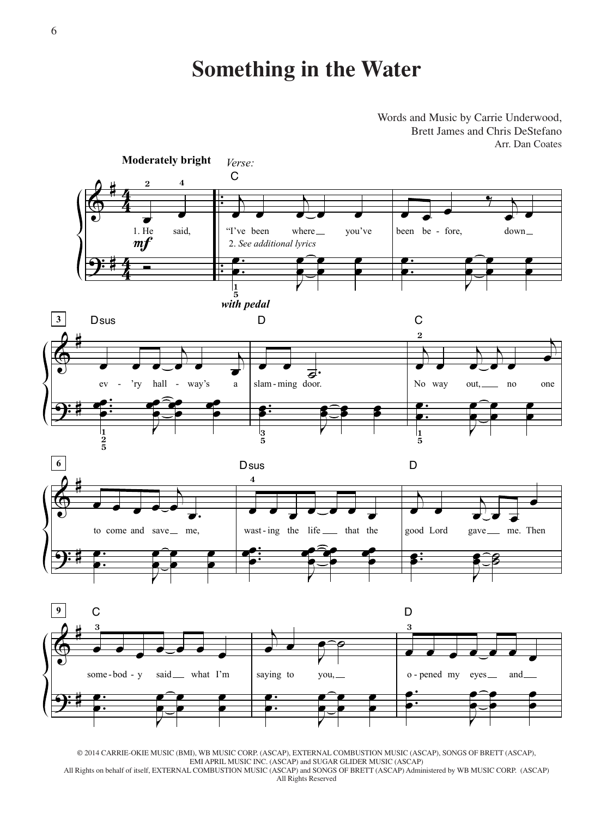## **Something in the Water**

Words and Music by Carrie Underwood, Brett James and Chris DeStefano Arr. Dan Coates



© 2014 CARRIE-OKIE MUSIC (BMI), WB MUSIC CORP. (ASCAP), EXTERNAL COMBUSTION MUSIC (ASCAP), SONGS OF BRETT (ASCAP), EMI APRIL MUSIC INC. (ASCAP) and SUGAR GLIDER MUSIC (ASCAP) All Rights on behalf of itself, EXTERNAL COMBUSTION MUSIC (ASCAP) and SONGS OF BRETT (ASCAP) Administered by WB MUSIC CORP. (ASCAP) All Rights Reserved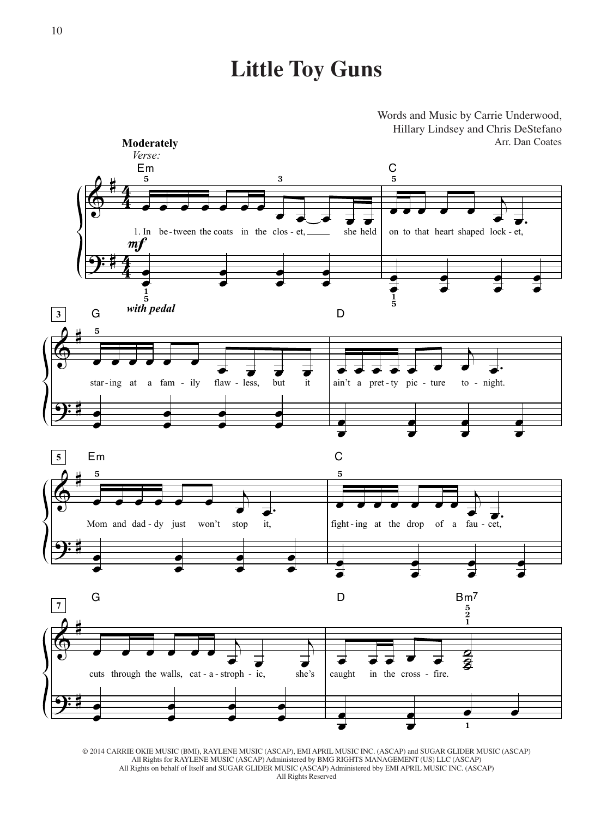## **Little Toy Guns**



© 2014 CARRIE OKIE MUSIC (BMI), RAYLENE MUSIC (ASCAP), EMI APRIL MUSIC INC. (ASCAP) and SUGAR GLIDER MUSIC (ASCAP) All Rights for RAYLENE MUSIC (ASCAP) Administered by BMG RIGHTS MANAGEMENT (US) LLC (ASCAP) All Rights on behalf of Itself and SUGAR GLIDER MUSIC (ASCAP) Administered bby EMI APRIL MUSIC INC. (ASCAP) All Rights Reserved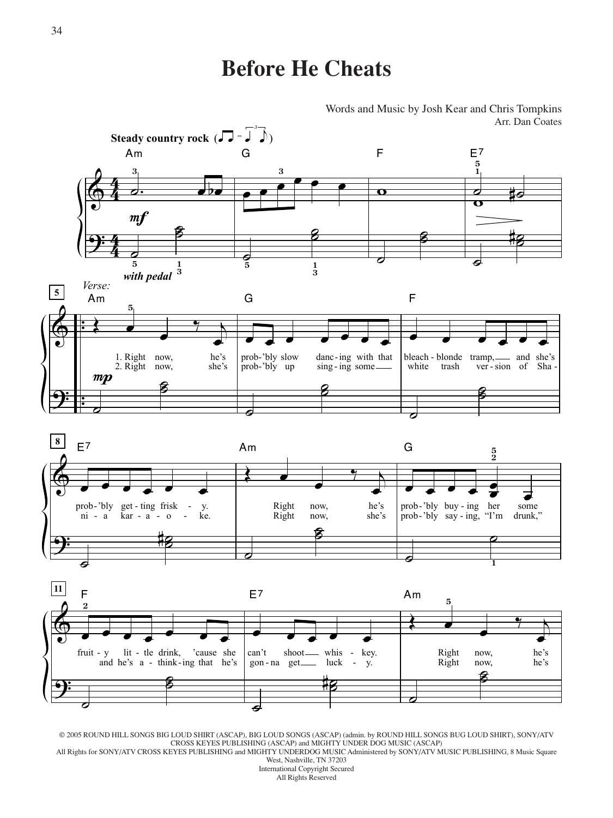## **Before He Cheats**

 $\Phi$ <u>.</u>  $\frac{4}{4}$ 4  $\frac{4}{4}$ 4  $\frac{1}{2}$ **3** œ bœ ˙ **5** ˙  $\beta$ **1 3** *with pedal* Am Steady country rock  $(d, d = d, d)$  $m f$  $\sqrt[3]{\phantom{a}}$  $\frac{1}{\sqrt{1-\frac{1}{n}}}$ **3**  $\bullet$   $\bullet$   $\bullet$ ˙ **5**  $\mathbf{z}$  $\frac{8}{2}$ **1 3** G  $\overline{\mathbf{O}}$  $\overline{\bullet}$ **3**  $\beta$ F  $\frac{1}{\alpha}$ **1 5** #˙  $\frac{2}{\sigma}$ ˙  $\overline{z}$ ˙# E7  $\Phi$  $\overline{\cdot}$ .<br>. . :<br>: :<br>: **5** Œ œ **5** œ  $\frac{1}{\sqrt{2}}$ œ 1. Right 2. Right now, now, he's she's  $\overline{\bullet}$ ˙  $\beta$ Am *Verse:*  $mp$  $\overrightarrow{e}$   $\overrightarrow{e}$   $\overrightarrow{e}$   $\overrightarrow{e}$   $\overrightarrow{e}$ prob-'bly slow prob- 'bly up danc-ing with that sing - ing some  $\blacksquare$  $\mathbf{z}$  $\frac{8}{2}$ G œ œ œ œ œ œ bleach - blonde white trash tramp, sion of and she's Sha -  $\overline{\bullet}$ ˙  $\beta$ F  $\Phi$ <u>.</u> **8** œ œ œ œ œ œ prob-'bly get - ting frisk ni - a kar - a - o y. ke.  $\Box$  $\overline{z}$ <u>#g</u> E7  $\leftarrow$ œ  $\frac{2}{\sqrt{2}}$ œ Right Right now, now, he's she's  $\overline{\bullet}$ 。<br>【 Am  $\overrightarrow{e}$ e<br>
prob-'bly buy-ing her **2 5**  $\overrightarrow{e}$ some prob- 'bly say - ing, "I'm drunk,"  $\Box$  $\overline{c}$ **1** G  $\bigoplus$ <u>.</u> **11**  $\overline{\phantom{a}}$ **2** œ œ œ œ œ œ fruit - y and he's a - think-ing that he's lit - tle drink, 'cause she  $\overline{\bullet}$ ˙  $\beta$ F œ œ œ œ œ can't gon-na get\_\_\_ luck shoot whis y. - key.  $\overline{\bullet}$  $\mathbf{z}$ <u>#p</u> E7  $\begin{array}{|c|c|c|}\n\hline\n\end{array}$ **5** œ  $\frac{1}{\sqrt{2}}$ œ Right Right now, now, he's he's  $\overline{\bullet}$ ov<br>B Am Words and Music by Josh Kear and Chris Tompkins Arr. Dan Coates

© 2005 ROUND HILL SONGS BIG LOUD SHIRT (ASCAP), BIG LOUD SONGS (ASCAP) (admin. by ROUND HILL SONGS BUG LOUD SHIRT), SONY/ATV CROSS KEYES PUBLISHING (ASCAP) and MIGHTY UNDER DOG MUSIC (ASCAP)

All Rights for SONY/ATV CROSS KEYES PUBLISHING and MIGHTY UNDERDOG MUSIC Administered by SONY/ATV MUSIC PUBLISHING, 8 Music Square West, Nashville, TN 37203

International Copyright Secured